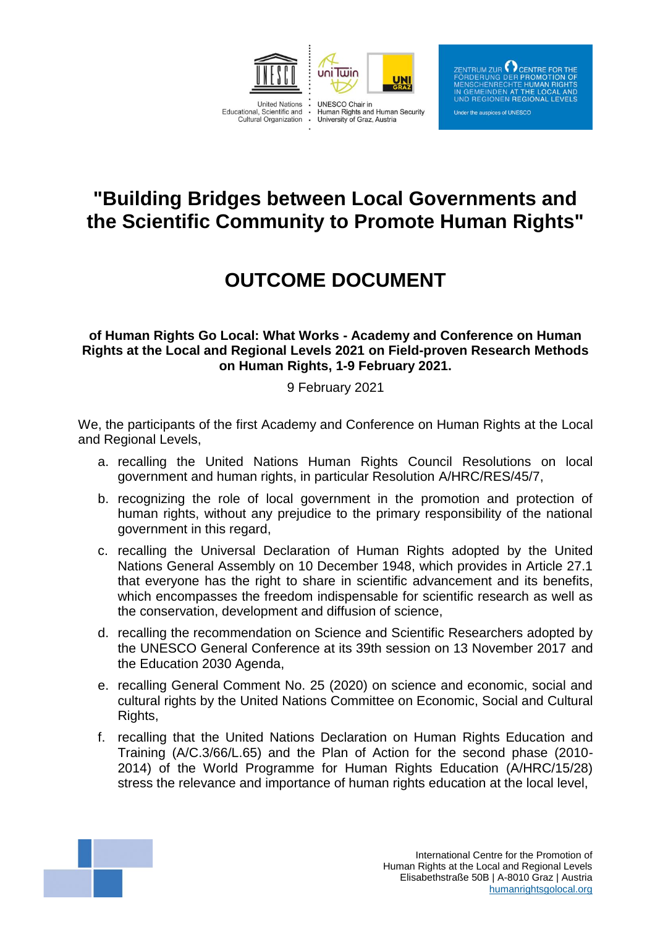

ZENTRUM ZUR  $\bigodot$  CENTRE FOR THE NERUNG DER PROMOTION OF<br>NSCHENRECHTE HUMAN RIGHTS EMEINDEN AT THE LOCAL AND **REGIONEN REGIONAL LEVELS** 

#### Under the auspices of UNESCO

## **"Building Bridges between Local Governments and the Scientific Community to Promote Human Rights"**

# **OUTCOME DOCUMENT**

### **of Human Rights Go Local: What Works - Academy and Conference on Human Rights at the Local and Regional Levels 2021 on Field-proven Research Methods on Human Rights, 1-9 February 2021.**

### 9 February 2021

We, the participants of the first Academy and Conference on Human Rights at the Local and Regional Levels,

- a. recalling the United Nations Human Rights Council Resolutions on local government and human rights, in particular Resolution A/HRC/RES/45/7,
- b. recognizing the role of local government in the promotion and protection of human rights, without any prejudice to the primary responsibility of the national government in this regard,
- c. recalling the Universal Declaration of Human Rights adopted by the United Nations General Assembly on 10 December 1948, which provides in Article 27.1 that everyone has the right to share in scientific advancement and its benefits, which encompasses the freedom indispensable for scientific research as well as the conservation, development and diffusion of science,
- d. recalling the recommendation on Science and Scientific Researchers adopted by the UNESCO General Conference at its 39th session on 13 November 2017 and the Education 2030 Agenda,
- e. recalling General Comment No. 25 (2020) on science and economic, social and cultural rights by the United Nations Committee on Economic, Social and Cultural Rights,
- f. recalling that the United Nations Declaration on Human Rights Education and Training (A/C.3/66/L.65) and the Plan of Action for the second phase (2010- 2014) of the World Programme for Human Rights Education (A/HRC/15/28) stress the relevance and importance of human rights education at the local level,

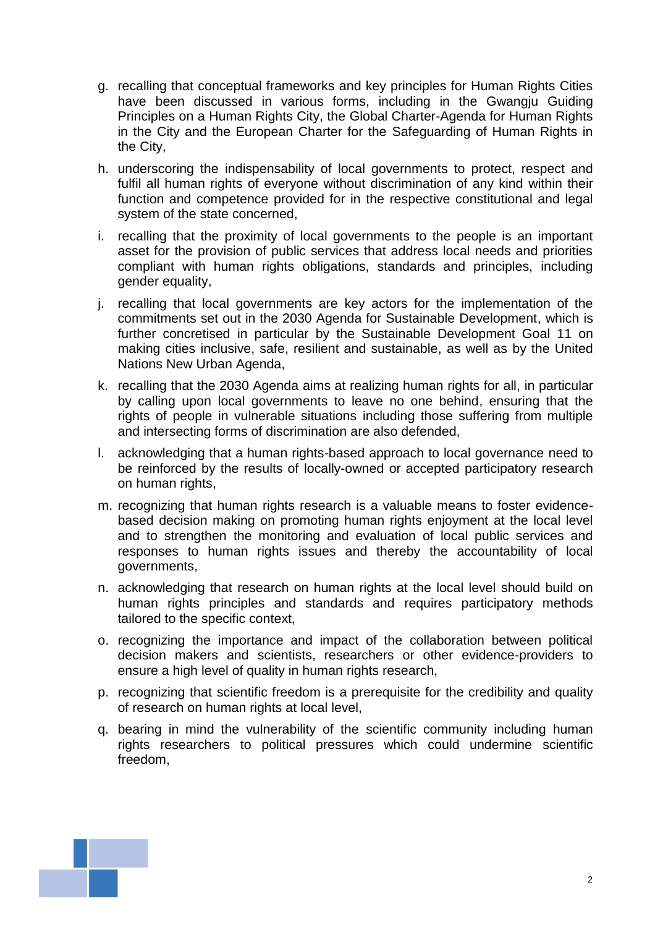- g. recalling that conceptual frameworks and key principles for Human Rights Cities have been discussed in various forms, including in the Gwangju Guiding Principles on a Human Rights City, the Global Charter-Agenda for Human Rights in the City and the European Charter for the Safeguarding of Human Rights in the City,
- h. underscoring the indispensability of local governments to protect, respect and fulfil all human rights of everyone without discrimination of any kind within their function and competence provided for in the respective constitutional and legal system of the state concerned,
- i. recalling that the proximity of local governments to the people is an important asset for the provision of public services that address local needs and priorities compliant with human rights obligations, standards and principles, including gender equality,
- j. recalling that local governments are key actors for the implementation of the commitments set out in the 2030 Agenda for Sustainable Development, which is further concretised in particular by the Sustainable Development Goal 11 on making cities inclusive, safe, resilient and sustainable, as well as by the United Nations New Urban Agenda,
- k. recalling that the 2030 Agenda aims at realizing human rights for all, in particular by calling upon local governments to leave no one behind, ensuring that the rights of people in vulnerable situations including those suffering from multiple and intersecting forms of discrimination are also defended,
- l. acknowledging that a human rights-based approach to local governance need to be reinforced by the results of locally-owned or accepted participatory research on human rights,
- m. recognizing that human rights research is a valuable means to foster evidencebased decision making on promoting human rights enjoyment at the local level and to strengthen the monitoring and evaluation of local public services and responses to human rights issues and thereby the accountability of local governments,
- n. acknowledging that research on human rights at the local level should build on human rights principles and standards and requires participatory methods tailored to the specific context,
- o. recognizing the importance and impact of the collaboration between political decision makers and scientists, researchers or other evidence-providers to ensure a high level of quality in human rights research,
- p. recognizing that scientific freedom is a prerequisite for the credibility and quality of research on human rights at local level,
- q. bearing in mind the vulnerability of the scientific community including human rights researchers to political pressures which could undermine scientific freedom,

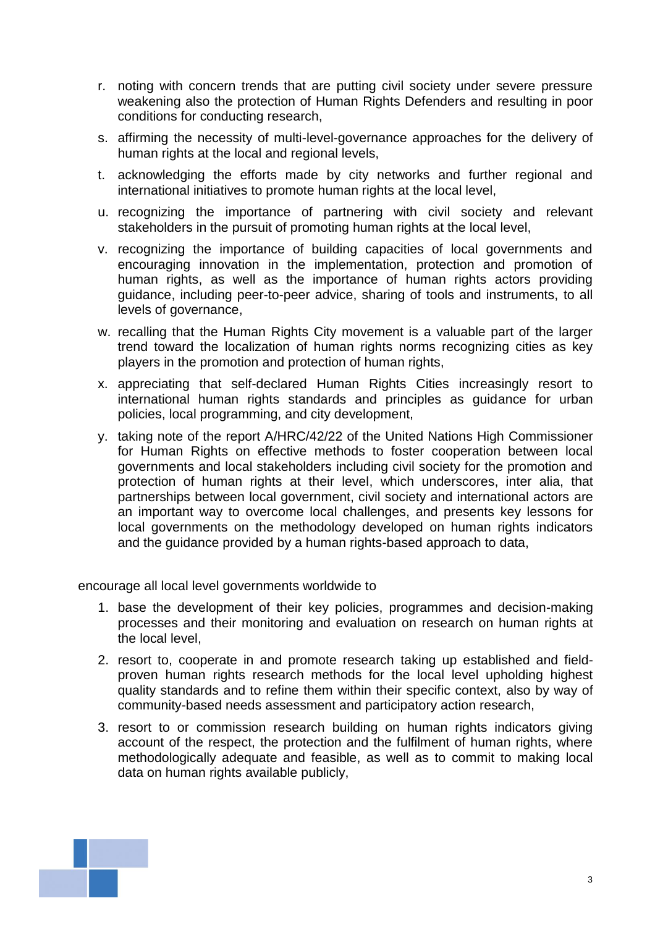- r. noting with concern trends that are putting civil society under severe pressure weakening also the protection of Human Rights Defenders and resulting in poor conditions for conducting research,
- s. affirming the necessity of multi-level-governance approaches for the delivery of human rights at the local and regional levels,
- t. acknowledging the efforts made by city networks and further regional and international initiatives to promote human rights at the local level,
- u. recognizing the importance of partnering with civil society and relevant stakeholders in the pursuit of promoting human rights at the local level,
- v. recognizing the importance of building capacities of local governments and encouraging innovation in the implementation, protection and promotion of human rights, as well as the importance of human rights actors providing guidance, including peer-to-peer advice, sharing of tools and instruments, to all levels of governance,
- w. recalling that the Human Rights City movement is a valuable part of the larger trend toward the localization of human rights norms recognizing cities as key players in the promotion and protection of human rights,
- x. appreciating that self-declared Human Rights Cities increasingly resort to international human rights standards and principles as guidance for urban policies, local programming, and city development,
- y. taking note of the report A/HRC/42/22 of the United Nations High Commissioner for Human Rights on effective methods to foster cooperation between local governments and local stakeholders including civil society for the promotion and protection of human rights at their level, which underscores, inter alia, that partnerships between local government, civil society and international actors are an important way to overcome local challenges, and presents key lessons for local governments on the methodology developed on human rights indicators and the guidance provided by a human rights-based approach to data,

encourage all local level governments worldwide to

- 1. base the development of their key policies, programmes and decision-making processes and their monitoring and evaluation on research on human rights at the local level,
- 2. resort to, cooperate in and promote research taking up established and fieldproven human rights research methods for the local level upholding highest quality standards and to refine them within their specific context, also by way of community-based needs assessment and participatory action research,
- 3. resort to or commission research building on human rights indicators giving account of the respect, the protection and the fulfilment of human rights, where methodologically adequate and feasible, as well as to commit to making local data on human rights available publicly,